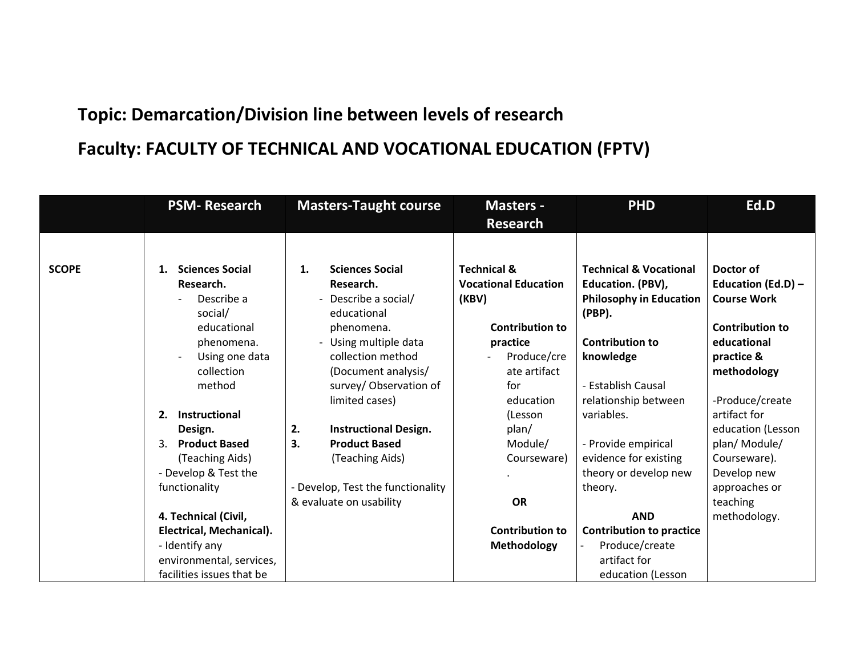## **Topic: Demarcation/Division line between levels of research Faculty: FACULTY OF TECHNICAL AND VOCATIONAL EDUCATION (FPTV)**

|              | <b>PSM-Research</b>          | <b>Masters-Taught course</b>        | <b>Masters -</b>            | <b>PHD</b>                               | Ed.D                   |
|--------------|------------------------------|-------------------------------------|-----------------------------|------------------------------------------|------------------------|
|              |                              |                                     | <b>Research</b>             |                                          |                        |
|              |                              |                                     |                             |                                          |                        |
| <b>SCOPE</b> | <b>Sciences Social</b><br>1. | <b>Sciences Social</b><br>1.        | <b>Technical &amp;</b>      | <b>Technical &amp; Vocational</b>        | Doctor of              |
|              | Research.                    | Research.                           | <b>Vocational Education</b> | Education. (PBV),                        | Education (Ed.D) -     |
|              | Describe a<br>social/        | - Describe a social/<br>educational | (KBV)                       | <b>Philosophy in Education</b><br>(PBP). | <b>Course Work</b>     |
|              | educational                  | phenomena.                          | <b>Contribution to</b>      |                                          | <b>Contribution to</b> |
|              | phenomena.                   | - Using multiple data               | practice                    | <b>Contribution to</b>                   | educational            |
|              | Using one data               | collection method                   | Produce/cre                 | knowledge                                | practice &             |
|              | collection                   | (Document analysis/                 | ate artifact                |                                          | methodology            |
|              | method                       | survey/Observation of               | for                         | - Establish Causal                       |                        |
|              |                              | limited cases)                      | education                   | relationship between                     | -Produce/create        |
|              | Instructional<br>2.          |                                     | (Lesson                     | variables.                               | artifact for           |
|              | Design.                      | <b>Instructional Design.</b><br>2.  | plan/                       |                                          | education (Lesson      |
|              | <b>Product Based</b><br>3.   | <b>Product Based</b><br>3.          | Module/                     | - Provide empirical                      | plan/ Module/          |
|              | (Teaching Aids)              | (Teaching Aids)                     | Courseware)                 | evidence for existing                    | Courseware).           |
|              | - Develop & Test the         |                                     |                             | theory or develop new                    | Develop new            |
|              | functionality                | - Develop, Test the functionality   |                             | theory.                                  | approaches or          |
|              |                              | & evaluate on usability             | <b>OR</b>                   |                                          | teaching               |
|              | 4. Technical (Civil,         |                                     |                             | <b>AND</b>                               | methodology.           |
|              | Electrical, Mechanical).     |                                     | <b>Contribution to</b>      | <b>Contribution to practice</b>          |                        |
|              | - Identify any               |                                     | Methodology                 | Produce/create                           |                        |
|              | environmental, services,     |                                     |                             | artifact for                             |                        |
|              | facilities issues that be    |                                     |                             | education (Lesson                        |                        |